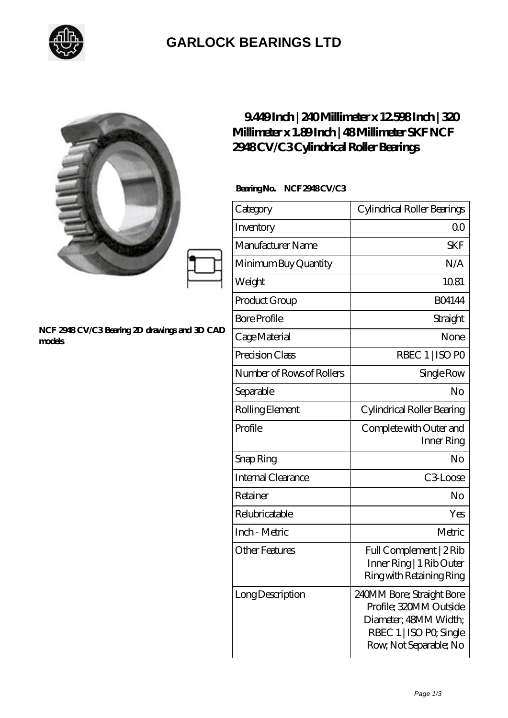

## **[GARLOCK BEARINGS LTD](https://m.letterstopriests.com)**

|                                                         | 9449Inch   240Millimeter x 12598Inch   320<br>Millimeter x 1.89Inch   48Millimeter SKF NCF<br>2948CV/C3Cylindrical Roller Bearings |                                                                                                                                   |
|---------------------------------------------------------|------------------------------------------------------------------------------------------------------------------------------------|-----------------------------------------------------------------------------------------------------------------------------------|
| NCF 2948 CV/C3 Bearing 2D drawings and 3D CAD<br>models | BearingNo. NCF2948CV/C3                                                                                                            |                                                                                                                                   |
|                                                         | Category                                                                                                                           | Cylindrical Roller Bearings                                                                                                       |
|                                                         | Inventory                                                                                                                          | 0 <sup>0</sup>                                                                                                                    |
|                                                         | Manufacturer Name                                                                                                                  | <b>SKF</b>                                                                                                                        |
|                                                         | Minimum Buy Quantity                                                                                                               | N/A                                                                                                                               |
|                                                         | Weight                                                                                                                             | 10.81                                                                                                                             |
|                                                         | Product Group                                                                                                                      | <b>BO4144</b>                                                                                                                     |
|                                                         | <b>Bore Profile</b>                                                                                                                | Straight                                                                                                                          |
|                                                         | Cage Material                                                                                                                      | None                                                                                                                              |
|                                                         | Precision Class                                                                                                                    | RBEC 1   ISO PO                                                                                                                   |
|                                                         | Number of Rows of Rollers                                                                                                          | Single Row                                                                                                                        |
|                                                         | Separable                                                                                                                          | N <sub>o</sub>                                                                                                                    |
|                                                         | Rolling Element                                                                                                                    | Cylindrical Roller Bearing                                                                                                        |
|                                                         | Profile                                                                                                                            | Complete with Outer and<br>Inner Ring                                                                                             |
|                                                         | Snap Ring                                                                                                                          | No                                                                                                                                |
|                                                         | Internal Clearance                                                                                                                 | C3Loose                                                                                                                           |
|                                                         | Retainer                                                                                                                           | No                                                                                                                                |
|                                                         | Relubricatable                                                                                                                     | Yes                                                                                                                               |
|                                                         | Inch - Metric                                                                                                                      | Metric                                                                                                                            |
|                                                         | <b>Other Features</b>                                                                                                              | Full Complement   2Rib<br>Inner Ring   1 Rib Outer<br>Ring with Retaining Ring                                                    |
|                                                         | Long Description                                                                                                                   | 240MM Bore; Straight Bore<br>Profile; 320MM Outside<br>Diameter; 48MM Width;<br>RBEC 1   ISO PO, Single<br>Row, Not Separable; No |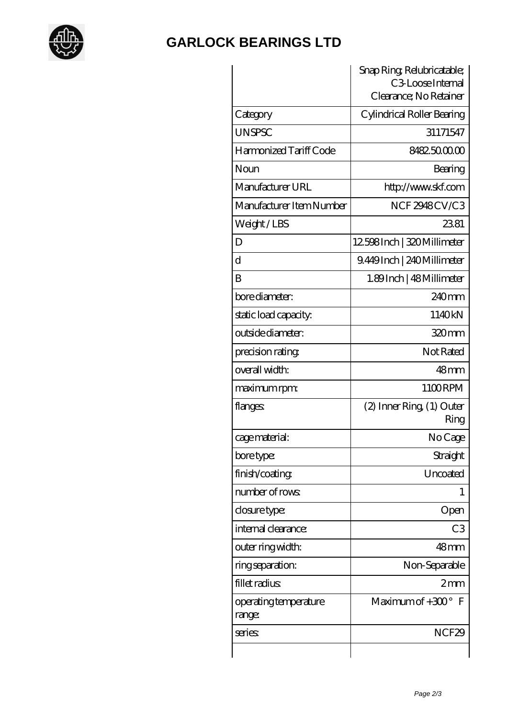

## **[GARLOCK BEARINGS LTD](https://m.letterstopriests.com)**

|                                 | Snap Ring Relubricatable;<br>C <sub>3</sub> Loose Internal |  |
|---------------------------------|------------------------------------------------------------|--|
|                                 | Clearance; No Retainer                                     |  |
| Category                        | Cylindrical Roller Bearing                                 |  |
| <b>UNSPSC</b>                   | 31171547                                                   |  |
| Harmonized Tariff Code          | 8482500000                                                 |  |
| Noun                            | Bearing                                                    |  |
| Manufacturer URL                | http://www.skf.com                                         |  |
| Manufacturer Item Number        | NCF2948CV/C3                                               |  |
| Weight/LBS                      | 2381                                                       |  |
| D                               | 12598Inch   320 Millimeter                                 |  |
| d                               | 9.449Inch   240Millimeter                                  |  |
| B                               | 1.89Inch   48 Millimeter                                   |  |
| bore diameter:                  | $240$ mm                                                   |  |
| static load capacity.           | 1140kN                                                     |  |
| outside diameter:               | 320mm                                                      |  |
| precision rating                | Not Rated                                                  |  |
| overall width:                  | 48 <sub>mm</sub>                                           |  |
| maximum rpm:                    | 1100RPM                                                    |  |
| flanges:                        | $(2)$ Inner Ring $(1)$ Outer<br>Ring                       |  |
| cage material:                  | No Cage                                                    |  |
| bore type:                      | Straight                                                   |  |
| finish/coating                  | Uncoated                                                   |  |
| number of rows:                 | 1                                                          |  |
| closure type:                   | Open                                                       |  |
| internal clearance:             | C <sub>3</sub>                                             |  |
| outer ring width:               | 48 <sub>mm</sub>                                           |  |
| ring separation:                | Non-Separable                                              |  |
| fillet radius                   | 2mm                                                        |  |
| operating temperature<br>range: | Maximum of $+300^\circ$<br>- F                             |  |
| series                          | NCF <sub>29</sub>                                          |  |
|                                 |                                                            |  |